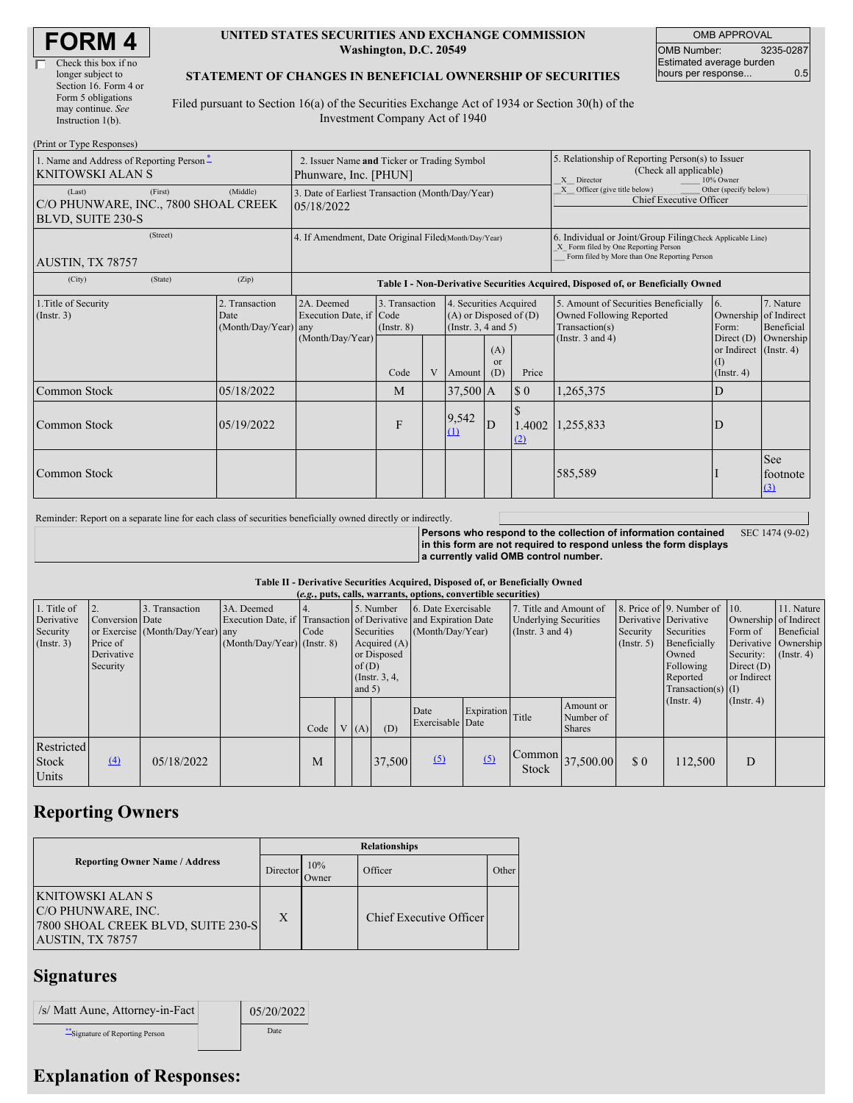| <b>FORM 4</b> |
|---------------|
|---------------|

| Check this box if no  |
|-----------------------|
| longer subject to     |
| Section 16. Form 4 or |
| Form 5 obligations    |
| may continue. See     |
| Instruction 1(b).     |
|                       |

#### **UNITED STATES SECURITIES AND EXCHANGE COMMISSION Washington, D.C. 20549**

OMB APPROVAL OMB Number: 3235-0287 Estimated average burden hours per response... 0.5

#### **STATEMENT OF CHANGES IN BENEFICIAL OWNERSHIP OF SECURITIES**

Filed pursuant to Section 16(a) of the Securities Exchange Act of 1934 or Section 30(h) of the Investment Company Act of 1940

| (Print or Type Responses)                                           |                                                                      |                                                      |                                                                                  |                                           |              |            |                                                                                                               |                                                                                                                                                    |                                                                                                             |                                                                                                            |                                      |
|---------------------------------------------------------------------|----------------------------------------------------------------------|------------------------------------------------------|----------------------------------------------------------------------------------|-------------------------------------------|--------------|------------|---------------------------------------------------------------------------------------------------------------|----------------------------------------------------------------------------------------------------------------------------------------------------|-------------------------------------------------------------------------------------------------------------|------------------------------------------------------------------------------------------------------------|--------------------------------------|
| 1. Name and Address of Reporting Person-<br><b>KNITOWSKI ALAN S</b> | 2. Issuer Name and Ticker or Trading Symbol<br>Phunware, Inc. [PHUN] |                                                      |                                                                                  |                                           |              |            | 5. Relationship of Reporting Person(s) to Issuer<br>(Check all applicable)<br>X Director<br>10% Owner         |                                                                                                                                                    |                                                                                                             |                                                                                                            |                                      |
| (Last)<br>C/O PHUNWARE, INC., 7800 SHOAL CREEK<br>BLVD, SUITE 230-S | 3. Date of Earliest Transaction (Month/Day/Year)<br>05/18/2022       |                                                      |                                                                                  |                                           |              |            | X Officer (give title below)<br>Other (specify below)<br><b>Chief Executive Officer</b>                       |                                                                                                                                                    |                                                                                                             |                                                                                                            |                                      |
| AUSTIN, TX 78757                                                    |                                                                      | 4. If Amendment, Date Original Filed Month/Day/Year) |                                                                                  |                                           |              |            |                                                                                                               | 6. Individual or Joint/Group Filing Check Applicable Line)<br>X Form filed by One Reporting Person<br>Form filed by More than One Reporting Person |                                                                                                             |                                                                                                            |                                      |
| (City)                                                              | (State)                                                              | (Zip)                                                | Table I - Non-Derivative Securities Acquired, Disposed of, or Beneficially Owned |                                           |              |            |                                                                                                               |                                                                                                                                                    |                                                                                                             |                                                                                                            |                                      |
| 1. Title of Security<br>(Insert. 3)                                 |                                                                      | 2. Transaction<br>Date<br>(Month/Day/Year) any       | 2A. Deemed<br>Execution Date, if Code<br>(Month/Day/Year)                        | 3. Transaction<br>$($ Instr. $8)$<br>Code | V            | Amount     | 4. Securities Acquired<br>$(A)$ or Disposed of $(D)$<br>(Instr. $3, 4$ and $5$ )<br>(A)<br>or<br>(D)<br>Price |                                                                                                                                                    | 5. Amount of Securities Beneficially<br>Owned Following Reported<br>Transaction(s)<br>(Instr. $3$ and $4$ ) | <b>6.</b><br>Ownership of Indirect<br>Form:<br>Direct $(D)$<br>or Indirect (Instr. 4)<br>(I)<br>(Insert 4) | 7. Nature<br>Beneficial<br>Ownership |
| Common Stock<br>05/18/2022                                          |                                                                      |                                                      |                                                                                  | M                                         |              | $37,500$ A |                                                                                                               | $\sqrt{ }$                                                                                                                                         | 1,265,375                                                                                                   | D                                                                                                          |                                      |
| Common Stock<br>05/19/2022                                          |                                                                      |                                                      | F                                                                                |                                           | 9,542<br>(1) | D          | 1.4002<br>(2)                                                                                                 | 1,255,833                                                                                                                                          | D                                                                                                           |                                                                                                            |                                      |
| Common Stock                                                        |                                                                      |                                                      |                                                                                  |                                           |              |            |                                                                                                               | 585,589                                                                                                                                            |                                                                                                             | <b>See</b><br>footnote<br>(3)                                                                              |                                      |

Reminder: Report on a separate line for each class of securities beneficially owned directly or indirectly.

**Persons who respond to the collection of information contained in this form are not required to respond unless the form displays a currently valid OMB control number.** SEC 1474 (9-02)

#### **Table II - Derivative Securities Acquired, Disposed of, or Beneficially Owned**

| (e.g., puts, calls, warrants, options, convertible securities) |                                                       |                                                 |                                                                                                               |      |  |                      |                                                                             |                                         |                  |                                                                            |                                                            |                           |                                                                                                                                                                                         |                  |                                                                                                            |
|----------------------------------------------------------------|-------------------------------------------------------|-------------------------------------------------|---------------------------------------------------------------------------------------------------------------|------|--|----------------------|-----------------------------------------------------------------------------|-----------------------------------------|------------------|----------------------------------------------------------------------------|------------------------------------------------------------|---------------------------|-----------------------------------------------------------------------------------------------------------------------------------------------------------------------------------------|------------------|------------------------------------------------------------------------------------------------------------|
| 1. Title of<br>Derivative<br>Security<br>(Insert. 3)           | Conversion Date<br>Price of<br>Derivative<br>Security | Transaction<br>or Exercise (Month/Day/Year) any | 3A. Deemed<br>Execution Date, if Transaction of Derivative and Expiration Date<br>(Month/Day/Year) (Instr. 8) | Code |  | of $(D)$<br>and $5)$ | 5. Number<br>Securities<br>Acquired $(A)$<br>or Disposed<br>(Instr. $3, 4,$ | 6. Date Exercisable<br>(Month/Day/Year) |                  | 7. Title and Amount of<br><b>Underlying Securities</b><br>(Instr. 3 and 4) |                                                            | Security<br>$($ Instr. 5) | 8. Price of 9. Number of 10.<br>Derivative Derivative<br>Securities<br>Form of<br>Beneficially<br>Owned<br>Following<br>Direct $(D)$<br>or Indirect<br>Reported<br>Transaction(s) $(I)$ |                  | 11. Nature<br>Ownership of Indirect<br>Beneficial<br>Derivative Ownership<br>Security: $(\text{Instr. 4})$ |
|                                                                |                                                       |                                                 |                                                                                                               | Code |  | V(A)                 | (D)                                                                         | Date<br>Exercisable Date                | Expiration Title |                                                                            | Amount or<br>Number of<br><b>Shares</b>                    |                           | $($ Instr. 4 $)$                                                                                                                                                                        | $($ Instr. 4 $)$ |                                                                                                            |
| Restricted<br><b>Stock</b><br>Units                            | (4)                                                   | 05/18/2022                                      |                                                                                                               | M    |  |                      | 37,500                                                                      | (5)                                     | (5)              | Stock                                                                      | $\begin{bmatrix} \text{Common} \\ 37,500.00 \end{bmatrix}$ | \$0                       | 112,500                                                                                                                                                                                 | D                |                                                                                                            |

## **Reporting Owners**

|                                                                                                         | <b>Relationships</b> |                     |                         |       |  |  |  |  |
|---------------------------------------------------------------------------------------------------------|----------------------|---------------------|-------------------------|-------|--|--|--|--|
| <b>Reporting Owner Name / Address</b>                                                                   | Director             | 10%<br><b>Jwner</b> | Officer                 | Other |  |  |  |  |
| <b>KNITOWSKI ALAN S</b><br>C/O PHUNWARE, INC.<br>7800 SHOAL CREEK BLVD, SUITE 230-S<br>AUSTIN, TX 78757 | X                    |                     | Chief Executive Officer |       |  |  |  |  |

### **Signatures**

| /s/ Matt Aune, Attorney-in-Fact | 05/20/2022  |
|---------------------------------|-------------|
| Signature of Reporting Person   | <b>Date</b> |

# **Explanation of Responses:**